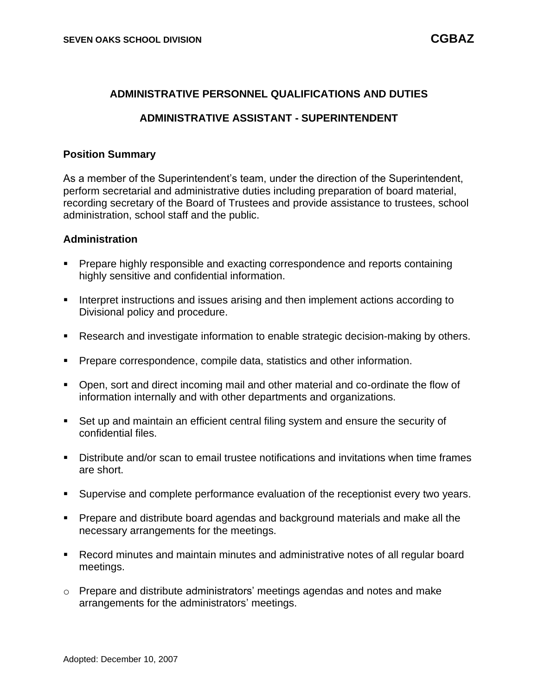### **ADMINISTRATIVE PERSONNEL QUALIFICATIONS AND DUTIES**

### **ADMINISTRATIVE ASSISTANT - SUPERINTENDENT**

#### **Position Summary**

As a member of the Superintendent's team, under the direction of the Superintendent, perform secretarial and administrative duties including preparation of board material, recording secretary of the Board of Trustees and provide assistance to trustees, school administration, school staff and the public.

#### **Administration**

- Prepare highly responsible and exacting correspondence and reports containing highly sensitive and confidential information.
- Interpret instructions and issues arising and then implement actions according to Divisional policy and procedure.
- Research and investigate information to enable strategic decision-making by others.
- **Prepare correspondence, compile data, statistics and other information.**
- Open, sort and direct incoming mail and other material and co-ordinate the flow of information internally and with other departments and organizations.
- Set up and maintain an efficient central filing system and ensure the security of confidential files.
- Distribute and/or scan to email trustee notifications and invitations when time frames are short.
- Supervise and complete performance evaluation of the receptionist every two years.
- Prepare and distribute board agendas and background materials and make all the necessary arrangements for the meetings.
- Record minutes and maintain minutes and administrative notes of all regular board meetings.
- $\circ$  Prepare and distribute administrators' meetings agendas and notes and make arrangements for the administrators' meetings.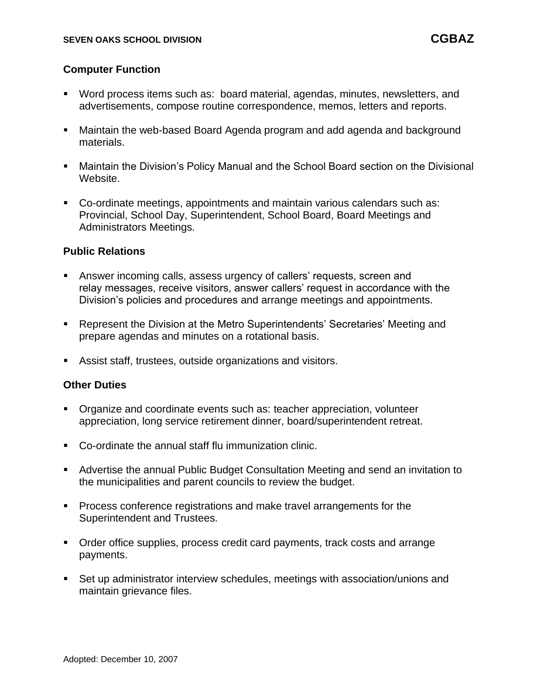### **Computer Function**

- Word process items such as: board material, agendas, minutes, newsletters, and advertisements, compose routine correspondence, memos, letters and reports.
- Maintain the web-based Board Agenda program and add agenda and background materials.
- Maintain the Division's Policy Manual and the School Board section on the Divisional Website.
- Co-ordinate meetings, appointments and maintain various calendars such as: Provincial, School Day, Superintendent, School Board, Board Meetings and Administrators Meetings.

### **Public Relations**

- Answer incoming calls, assess urgency of callers' requests, screen and relay messages, receive visitors, answer callers' request in accordance with the Division's policies and procedures and arrange meetings and appointments.
- Represent the Division at the Metro Superintendents' Secretaries' Meeting and prepare agendas and minutes on a rotational basis.
- Assist staff, trustees, outside organizations and visitors.

#### **Other Duties**

- Organize and coordinate events such as: teacher appreciation, volunteer appreciation, long service retirement dinner, board/superintendent retreat.
- Co-ordinate the annual staff flu immunization clinic.
- Advertise the annual Public Budget Consultation Meeting and send an invitation to the municipalities and parent councils to review the budget.
- Process conference registrations and make travel arrangements for the Superintendent and Trustees.
- Order office supplies, process credit card payments, track costs and arrange payments.
- Set up administrator interview schedules, meetings with association/unions and maintain grievance files.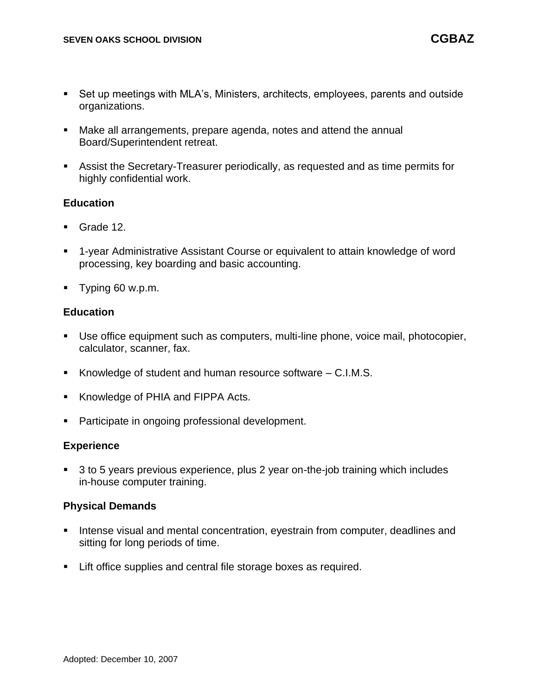- Set up meetings with MLA's, Ministers, architects, employees, parents and outside organizations.
- Make all arrangements, prepare agenda, notes and attend the annual Board/Superintendent retreat.
- Assist the Secretary-Treasurer periodically, as requested and as time permits for highly confidential work.

### **Education**

- Grade 12.
- 1-year Administrative Assistant Course or equivalent to attain knowledge of word processing, key boarding and basic accounting.
- Typing 60 w.p.m.

## **Education**

- **E** Use office equipment such as computers, multi-line phone, voice mail, photocopier, calculator, scanner, fax.
- Knowledge of student and human resource software C.I.M.S.
- Knowledge of PHIA and FIPPA Acts.
- Participate in ongoing professional development.

### **Experience**

■ 3 to 5 years previous experience, plus 2 year on-the-job training which includes in-house computer training.

### **Physical Demands**

- **EXTENDING** Intense visual and mental concentration, eyestrain from computer, deadlines and sitting for long periods of time.
- Lift office supplies and central file storage boxes as required.